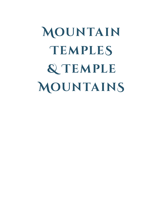## MOUNTAIN TEMPLES **& TEMPLE** MOUNTAINS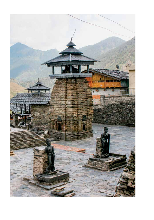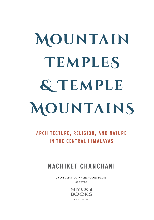# MOUNTAIN TEMPLES **& TEMPLE** MOUNTAINS

**Architecture, Religion, and Nature in the Central Himalayas**

### **Nachiket Chanchani**

University of Washington Press,

**SEATTLE** 



NEW DELHI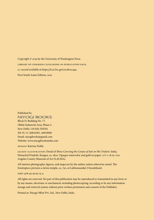Copyright © 2019 by the University of Washington Press Library of Congress Cataloging-in-Publication Data LC record available at https://lccn.loc.gov/2018012494 First South Asian Edition, 2021

Published by **NIYOGI BOOKS** Block D, Building No. 77, Okhla Industrial Area, Phase-I, New Delhi-110 020, INDIA Tel: 91-11-26816301, 26818960 Email: niyogibooks@gmail.com Website: www.niyogibooksindia.com

design: Katrina Noble

Jacket illustration: Detail of *Shiva Carrying the Corpse of Sati on His Trident*. India, Himachal Pradesh, Kangra, ca. 1800. Opaque watercolor and gold on paper.  $11\frac{1}{2} \times 16$  in. Los Angeles County Museum of Art (LACMA).

All interior photographs, figures, and maps are by the author unless otherwise noted. The frontispiece pictures a *latina* temple, ca. 750, at Lakhamandal, Uttarakhand.

#### ISBN: 978-93-91125-13-4

All rights are reserved. No part of this publication may be reproduced or transmitted in any form or by any means, electronic or mechanical, including photocopying, recording or by any information storage and retrieval system without prior written permission and consent of the Publisher.

Printed at: Niyogi Offset Pvt. Ltd., New Delhi, India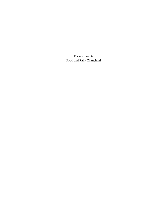For my parents Swati and Rajiv Chanchani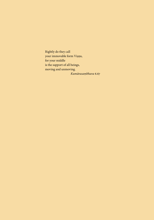Rightly do they call your immovable form Viṣṇu, for your middle is the support of all beings, moving and unmoving. *Kumārasaṃbhava* 6.67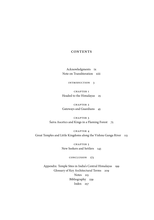#### **CONTENTS**

Acknowledgments ix Note on Transliteration xiii

INTRODUCTION 3

CHAPTER 1 Headed to the Himalayas 25

CHAPTER 2 Gateways and Guardians 45

CHAPTER 3 Śaiva Ascetics and Kings in a Flaming Forest 75

CHAPTER 4 Great Temples and Little Kingdoms along the Vishnu Ganga River 113

> CHAPTER 5 New Seekers and Settlers 143

> > Conclusion 173

Appendix: Temple Sites in India's Central Himalayas 199 Glossary of Key Architectural Terms 209 Notes 213 Bibliography 239 Index 257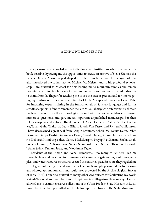#### **ACKNOWLEDGMENTS**

It is a pleasure to acknowledge the individuals and institutions who have made this book possible. By giving me the opportunity to create an archive of Stella Kramrisch's papers, Darielle Mason helped shaped my interest in Indian and Himalayan art. She also introduced me to her teacher Michael W. Meister and to his profound scholarship. I am grateful to Michael for first leading me to mountain temples and temple mountains and for teaching me to read monuments and see texts. I would also like to thank Romila Thapar for teaching me to see the past as present and for interrogating my reading of diverse genres of Sanskrit texts. My special thanks to Deven Patel for imparting expert training in the fundamentals of Sanskrit language and for his steadfast support. I fondly remember the late M. A. Dhaky, who affectionately showed me how to coordinate the archaeological record with the textual evidence, answered numerous questions, and gave me an important unpublished manuscript. For their roles as inspiring educators, I thank Frederick Asher, Catherine Asher, Partha Chatterjee, Tapati Guha-Thakurta, Laura Hilton, Rhoda Van Tassel, and Richard Williamson. I have also learned a great deal from Crispin Branfoot, Ashok Das, Dayita Datta, Debra Diamond, Saryu Doshi, Devangana Desai, Suresh Dubey, Adam Hardy, Claire Harris, Deborah Klimburg-Salter, Nancy Mickelwright, Prayag Raj Sharma, Snehal Shah, Frederick Smith, A. Srivathsan, Nancy Steinhardt, Babu Suthar, Theodore Riccardi, Walter Spink, Tamara Sears, and Woodman Taylor.

Residents of the Indian and Nepal Himalayas—too many to list here—led me through glens and meadows to commemorative markers, gatehouses, sculptures, temples, and water-resource structures erected in centuries past. En route they regaled me with legends of their gods and guardians. Gautam Sengupta permitted me to measure and photograph monuments and sculptures protected by the Archaeological Survey of India (ASI). I am also grateful to many other ASI officers for facilitating my work. Rakesh Tewari shared recollections of his pioneering village-to-village surveys. He also allowed me to examine reserve collections of the Uttar Pradesh State Museum in Lucknow. Hari Chauhan permitted me to photograph sculptures in the State Museum in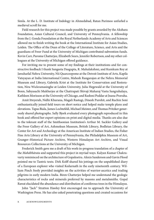Simla. At the L. D. Institute of Indology in Ahmedabad, Ratan Parimoo unfurled a medieval scroll for me.

Field research for this project was made possible by grants awarded by the Akshara Foundation, Asian Cultural Council, and University of Pennsylvania. A fellowship from the J. Gonda Foundation at the Royal Netherlands Academy of Arts and Sciences allowed me to finish writing the book at the International Institute for Asian Studies, Leiden. The Office of the Dean of the College of Literature, Science, and Arts and the guardians of Freer Fund at the University of Michigan contributed subvention funds. Kevin Carr, Paroma Chatterjee, Elizabeth Sears, Jennifer Robertson, and my other colleagues at the University of Michigan offered guidance.

For inviting me to present some of my findings at their institutions and for constructive feedback I thank Sangeeta Dasgupta, R. Mahalakshmi, and Kumkum Roy at Jawaharlal Nehru University, Nii Quarcoopome at the Detroit Institute of Arts, Kapila Vatsyayan at India International Centre, Mahesh Rangarajan at the Nehru Memorial Museum and Library, Gabriela Krist at the Institute for Conservation and Restoration, Nira Wickramasinghe at Leiden University, Julia Hegewald at the University of Bonn, Sabyasachi Mukherjee at the Chattrapati Shivaji Maharaj Vastu Sangrahalaya, Kathleen Morisson at the University of Chicago, and Rashmi Poddar at Jnana-Pravaha.

Amit Itteyerah, Nidhi Khurana, Magali Rastogi, Dinesh Purohit, and Ruchin Soni enthusiastically joined field tours on short notice and helped make temple plans and elevations. Tapas Biala, James Lochtefeld, Michael Meister, and Thomas Pritzker generously shared photographs. Sally Bjork evaluated every photograph reproduced in this book and offered her expert opinions on print and digital media. Thanks are also due to the tolerant staff of the Smithsonian Institution's Arthur M. Sackler Gallery and the Freer Gallery of Art, Ashmolean Museum, British Library, Bodleian Library, the Center for Art and Archeology at the American Institute of Indian Studies, the Fisher Fine Arts Library at the University of Pennsylvania, the Philadelphia Museum of Art, Granger–Historical Picture Archive, Western Himalayan Art Archive, and Visual Resources Collections at the University of Michigan.

Frederick Smith gave me a draft of his work-in-progress translation of a chapter of the *Mahābhārata* and supported this project in myriad ways. Kalyan Kumar Chakravarty reminisced on the architecture of Gopaksetra. Alexis Sanderson and Gavin Flood pointed me to Tantric texts. Dirk Kolff shared his jottings on the unpublished diary of a European explorer who visited Kedarnath in the early nineteenth century. William Pinch freely provided insights on the activities of warrior-ascetics and trading pilgrims in early modern India. Biren Chatterjee helped me understand the geologic characteristics of rocks and minerals preferred by masons and metalsmiths. Gopal Rawat elucidated the abundance and distribution of coniferous trees in the Himalayas.

John "Jack" Stratton Hawley first encouraged me to approach the University of Washington Press. He has also asked penetrating questions and created occasions for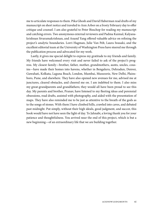me to articulate responses to them. Pika Ghosh and David Haberman read drafts of my manuscript on short notice and traveled to Ann Arbor on a frosty February day to offer critique and counsel. I am also grateful to Peter Bisschop for reading my manuscript and catching errors. Two anonymous external reviewers and Padma Kaimal, Kalyanakrishnan Sivaramakrishnan, and Anand Yang offered valuable advice on refining the project's analytic boundaries. Lorri Hagman, Julie Van Pelt, Laura Iwasaki, and the excellent editorial team at the University of Washington Press have steered me through the publication process and advocated for my work.

Lastly, it gives me special delight to express my gratitude to my friends and family. My friends have welcomed every visit and never failed to ask of the project's progress. My closest family—brother, father, mother, grandmothers, aunts, uncles, cousins—have made their homes into havens, whether in Bengaluru, Dehradun, Denver, Guwahati, Kolkata, Laguna Beach, London, Mumbai, Mussoorie, New Delhi, Plainsboro, Pune, and elsewhere. They have also opened new avenues for me, advised me at junctures, cleared obstacles, and cheered me on. I am indebted to them. I also miss my great-grandparents and grandfathers; they would all have been proud to see this day. My parents and brother, Pranav, have listened to my fleeting ideas and perennial obsessions, read drafts, assisted with photography, and aided with the presentation of maps. They have also reminded me to be just as attentive to the breath of the gods as to the songs of stones. With them I have climbed hills, crawled into caves, and debated past midnight. Put simply, without their high ideals, good judgment, and succor, this book would have not have seen the light of day. To Jahnabi, a loving thank you for your patience and thoughtfulness. You arrived near the end of this project, which is but a new beginning—of an extraordinary life that we are building together.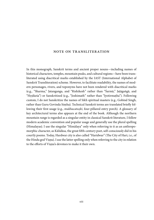#### Note on Transliteration

In this monograph, Sanskrit terms and ancient proper nouns—including names of historical characters, temples, mountain peaks, and cultural regions—have been transliterated using diacritical marks established by the IAST (International Alphabet of Sanskrit Transliteration) scheme. However, to facilitate readability, the names of modern personages, rivers, and toponyms have not been rendered with diacritical marks (e.g., "Sharma," Jatanganga, and "Rishikesh" rather than "Śarmā," Jaṭāgaṅgā, and "Hṛṣīkeśa") or Sanskritized (e.g., "Joshimath" rather than "Jyotirmaṭha"). Following custom, I do not Sanskritize the names of Sikh spiritual masters (e.g., Gobind Singh, rather than Guru Govinda Siṃha). Technical Sanskrit terms are translated briefly following their first usage (e.g., *mukhacatuṣkī*, four-pillared entry porch). A glossary of key architectural terms also appears at the end of the book. Although the northern mountain range is regarded as a singular entity in classical Sanskrit literature, I follow modern academic convention and popular usage and generally use the plural spelling (Himalayas). I use the singular "Himālaya" only when referring to it as an anthropomorphic character, as Kālidāsa, the great fifth-century poet, self-consciously did in his courtly poems. Today, Hardwar city is also called "Haridwar" (The City of Hari, i.e., of the Hindu god Viṣṇu). I use the latter spelling only when referring to the city in relation to the efforts of Viṣṇu's devotees to make it their own.